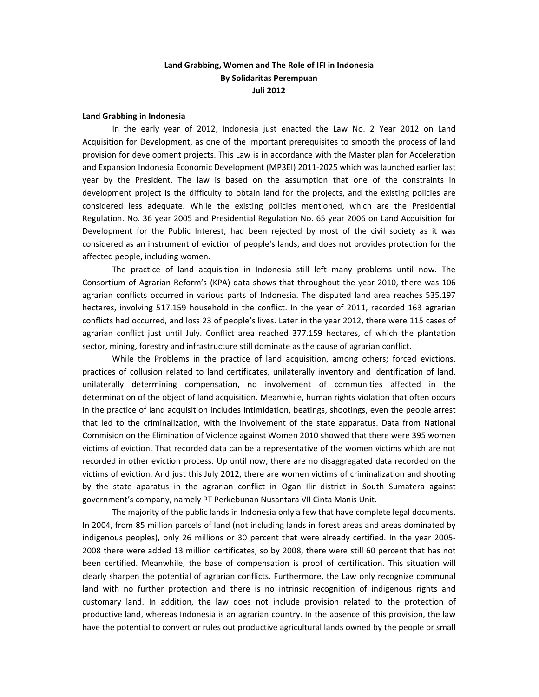# Land Grabbing, Women and The Role of IFI in Indonesia By Solidaritas Perempuan Juli 2012

### Land Grabbing in Indonesia

In the early year of 2012, Indonesia just enacted the Law No. 2 Year 2012 on Land Acquisition for Development, as one of the important prerequisites to smooth the process of land provision for development projects. This Law is in accordance with the Master plan for Acceleration and Expansion Indonesia Economic Development (MP3EI) 2011-2025 which was launched earlier last year by the President. The law is based on the assumption that one of the constraints in development project is the difficulty to obtain land for the projects, and the existing policies are considered less adequate. While the existing policies mentioned, which are the Presidential Regulation. No. 36 year 2005 and Presidential Regulation No. 65 year 2006 on Land Acquisition for Development for the Public Interest, had been rejected by most of the civil society as it was considered as an instrument of eviction of people's lands, and does not provides protection for the affected people, including women.

The practice of land acquisition in Indonesia still left many problems until now. The Consortium of Agrarian Reform's (KPA) data shows that throughout the year 2010, there was 106 agrarian conflicts occurred in various parts of Indonesia. The disputed land area reaches 535.197 hectares, involving 517.159 household in the conflict. In the year of 2011, recorded 163 agrarian conflicts had occurred, and loss 23 of people's lives. Later in the year 2012, there were 115 cases of agrarian conflict just until July. Conflict area reached 377.159 hectares, of which the plantation sector, mining, forestry and infrastructure still dominate as the cause of agrarian conflict.

While the Problems in the practice of land acquisition, among others; forced evictions, practices of collusion related to land certificates, unilaterally inventory and identification of land, unilaterally determining compensation, no involvement of communities affected in the determination of the object of land acquisition. Meanwhile, human rights violation that often occurs in the practice of land acquisition includes intimidation, beatings, shootings, even the people arrest that led to the criminalization, with the involvement of the state apparatus. Data from National Commision on the Elimination of Violence against Women 2010 showed that there were 395 women victims of eviction. That recorded data can be a representative of the women victims which are not recorded in other eviction process. Up until now, there are no disaggregated data recorded on the victims of eviction. And just this July 2012, there are women victims of criminalization and shooting by the state aparatus in the agrarian conflict in Ogan Ilir district in South Sumatera against government's company, namely PT Perkebunan Nusantara VII Cinta Manis Unit.

The majority of the public lands in Indonesia only a few that have complete legal documents. In 2004, from 85 million parcels of land (not including lands in forest areas and areas dominated by indigenous peoples), only 26 millions or 30 percent that were already certified. In the year 2005- 2008 there were added 13 million certificates, so by 2008, there were still 60 percent that has not been certified. Meanwhile, the base of compensation is proof of certification. This situation will clearly sharpen the potential of agrarian conflicts. Furthermore, the Law only recognize communal land with no further protection and there is no intrinsic recognition of indigenous rights and customary land. In addition, the law does not include provision related to the protection of productive land, whereas Indonesia is an agrarian country. In the absence of this provision, the law have the potential to convert or rules out productive agricultural lands owned by the people or small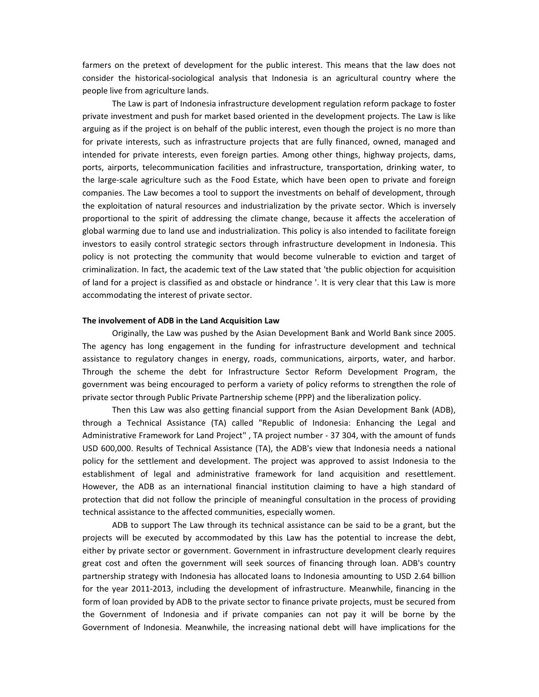farmers on the pretext of development for the public interest. This means that the law does not consider the historical-sociological analysis that Indonesia is an agricultural country where the people live from agriculture lands.

The Law is part of Indonesia infrastructure development regulation reform package to foster private investment and push for market based oriented in the development projects. The Law is like arguing as if the project is on behalf of the public interest, even though the project is no more than for private interests, such as infrastructure projects that are fully financed, owned, managed and intended for private interests, even foreign parties. Among other things, highway projects, dams, ports, airports, telecommunication facilities and infrastructure, transportation, drinking water, to the large-scale agriculture such as the Food Estate, which have been open to private and foreign companies. The Law becomes a tool to support the investments on behalf of development, through the exploitation of natural resources and industrialization by the private sector. Which is inversely proportional to the spirit of addressing the climate change, because it affects the acceleration of global warming due to land use and industrialization. This policy is also intended to facilitate foreign investors to easily control strategic sectors through infrastructure development in Indonesia. This policy is not protecting the community that would become vulnerable to eviction and target of criminalization. In fact, the academic text of the Law stated that 'the public objection for acquisition of land for a project is classified as and obstacle or hindrance '. It is very clear that this Law is more accommodating the interest of private sector.

### The involvement of ADB in the Land Acquisition Law

Originally, the Law was pushed by the Asian Development Bank and World Bank since 2005. The agency has long engagement in the funding for infrastructure development and technical assistance to regulatory changes in energy, roads, communications, airports, water, and harbor. Through the scheme the debt for Infrastructure Sector Reform Development Program, the government was being encouraged to perform a variety of policy reforms to strengthen the role of private sector through Public Private Partnership scheme (PPP) and the liberalization policy.

Then this Law was also getting financial support from the Asian Development Bank (ADB), through a Technical Assistance (TA) called "Republic of Indonesia: Enhancing the Legal and Administrative Framework for Land Project" , TA project number - 37 304, with the amount of funds USD 600,000. Results of Technical Assistance (TA), the ADB's view that Indonesia needs a national policy for the settlement and development. The project was approved to assist Indonesia to the establishment of legal and administrative framework for land acquisition and resettlement. However, the ADB as an international financial institution claiming to have a high standard of protection that did not follow the principle of meaningful consultation in the process of providing technical assistance to the affected communities, especially women.

ADB to support The Law through its technical assistance can be said to be a grant, but the projects will be executed by accommodated by this Law has the potential to increase the debt, either by private sector or government. Government in infrastructure development clearly requires great cost and often the government will seek sources of financing through loan. ADB's country partnership strategy with Indonesia has allocated loans to Indonesia amounting to USD 2.64 billion for the year 2011-2013, including the development of infrastructure. Meanwhile, financing in the form of loan provided by ADB to the private sector to finance private projects, must be secured from the Government of Indonesia and if private companies can not pay it will be borne by the Government of Indonesia. Meanwhile, the increasing national debt will have implications for the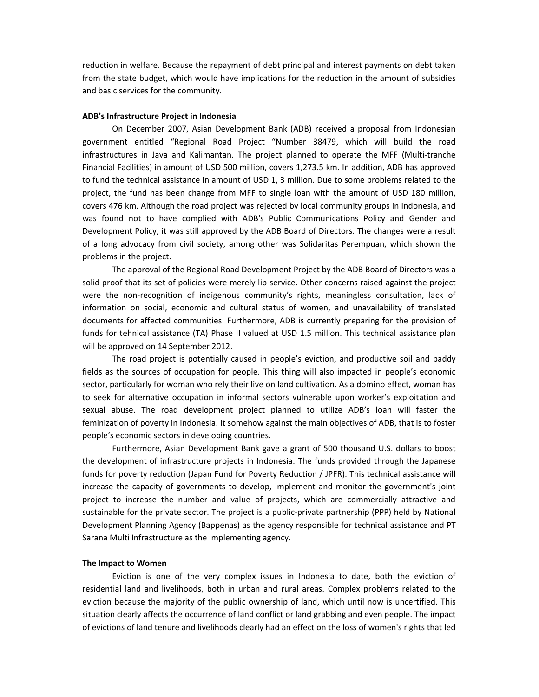reduction in welfare. Because the repayment of debt principal and interest payments on debt taken from the state budget, which would have implications for the reduction in the amount of subsidies and basic services for the community.

## ADB's Infrastructure Project in Indonesia

On December 2007, Asian Development Bank (ADB) received a proposal from Indonesian government entitled "Regional Road Project "Number 38479, which will build the road infrastructures in Java and Kalimantan. The project planned to operate the MFF (Multi-tranche Financial Facilities) in amount of USD 500 million, covers 1,273.5 km. In addition, ADB has approved to fund the technical assistance in amount of USD 1, 3 million. Due to some problems related to the project, the fund has been change from MFF to single loan with the amount of USD 180 million, covers 476 km. Although the road project was rejected by local community groups in Indonesia, and was found not to have complied with ADB's Public Communications Policy and Gender and Development Policy, it was still approved by the ADB Board of Directors. The changes were a result of a long advocacy from civil society, among other was Solidaritas Perempuan, which shown the problems in the project.

The approval of the Regional Road Development Project by the ADB Board of Directors was a solid proof that its set of policies were merely lip-service. Other concerns raised against the project were the non-recognition of indigenous community's rights, meaningless consultation, lack of information on social, economic and cultural status of women, and unavailability of translated documents for affected communities. Furthermore, ADB is currently preparing for the provision of funds for tehnical assistance (TA) Phase II valued at USD 1.5 million. This technical assistance plan will be approved on 14 September 2012.

The road project is potentially caused in people's eviction, and productive soil and paddy fields as the sources of occupation for people. This thing will also impacted in people's economic sector, particularly for woman who rely their live on land cultivation. As a domino effect, woman has to seek for alternative occupation in informal sectors vulnerable upon worker's exploitation and sexual abuse. The road development project planned to utilize ADB's loan will faster the feminization of poverty in Indonesia. It somehow against the main objectives of ADB, that is to foster people's economic sectors in developing countries.

Furthermore, Asian Development Bank gave a grant of 500 thousand U.S. dollars to boost the development of infrastructure projects in Indonesia. The funds provided through the Japanese funds for poverty reduction (Japan Fund for Poverty Reduction / JPFR). This technical assistance will increase the capacity of governments to develop, implement and monitor the government's joint project to increase the number and value of projects, which are commercially attractive and sustainable for the private sector. The project is a public-private partnership (PPP) held by National Development Planning Agency (Bappenas) as the agency responsible for technical assistance and PT Sarana Multi Infrastructure as the implementing agency.

#### The Impact to Women

Eviction is one of the very complex issues in Indonesia to date, both the eviction of residential land and livelihoods, both in urban and rural areas. Complex problems related to the eviction because the majority of the public ownership of land, which until now is uncertified. This situation clearly affects the occurrence of land conflict or land grabbing and even people. The impact of evictions of land tenure and livelihoods clearly had an effect on the loss of women's rights that led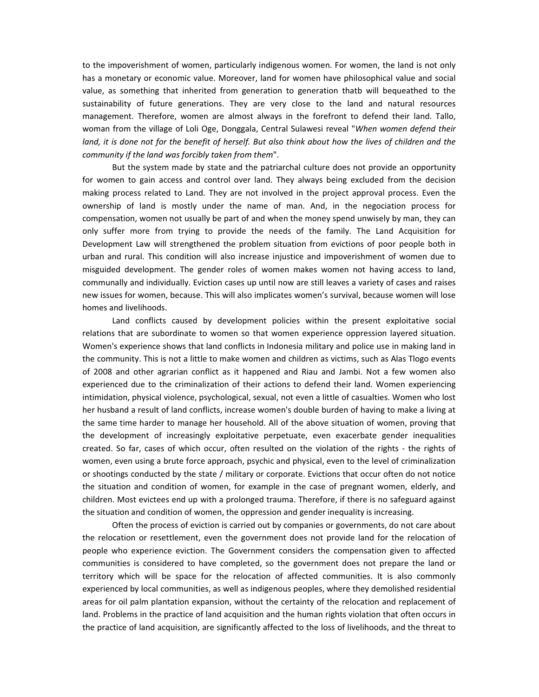to the impoverishment of women, particularly indigenous women. For women, the land is not only has a monetary or economic value. Moreover, land for women have philosophical value and social value, as something that inherited from generation to generation thatb will bequeathed to the sustainability of future generations. They are very close to the land and natural resources management. Therefore, women are almost always in the forefront to defend their land. Tallo, woman from the village of Loli Oge, Donggala, Central Sulawesi reveal "When women defend their land, it is done not for the benefit of herself. But also think about how the lives of children and the community if the land was forcibly taken from them".

But the system made by state and the patriarchal culture does not provide an opportunity for women to gain access and control over land. They always being excluded from the decision making process related to Land. They are not involved in the project approval process. Even the ownership of land is mostly under the name of man. And, in the negociation process for compensation, women not usually be part of and when the money spend unwisely by man, they can only suffer more from trying to provide the needs of the family. The Land Acquisition for Development Law will strengthened the problem situation from evictions of poor people both in urban and rural. This condition will also increase injustice and impoverishment of women due to misguided development. The gender roles of women makes women not having access to land, communally and individually. Eviction cases up until now are still leaves a variety of cases and raises new issues for women, because. This will also implicates women's survival, because women will lose homes and livelihoods.

Land conflicts caused by development policies within the present exploitative social relations that are subordinate to women so that women experience oppression layered situation. Women's experience shows that land conflicts in Indonesia military and police use in making land in the community. This is not a little to make women and children as victims, such as Alas Tlogo events of 2008 and other agrarian conflict as it happened and Riau and Jambi. Not a few women also experienced due to the criminalization of their actions to defend their land. Women experiencing intimidation, physical violence, psychological, sexual, not even a little of casualties. Women who lost her husband a result of land conflicts, increase women's double burden of having to make a living at the same time harder to manage her household. All of the above situation of women, proving that the development of increasingly exploitative perpetuate, even exacerbate gender inequalities created. So far, cases of which occur, often resulted on the violation of the rights - the rights of women, even using a brute force approach, psychic and physical, even to the level of criminalization or shootings conducted by the state / military or corporate. Evictions that occur often do not notice the situation and condition of women, for example in the case of pregnant women, elderly, and children. Most evictees end up with a prolonged trauma. Therefore, if there is no safeguard against the situation and condition of women, the oppression and gender inequality is increasing.

Often the process of eviction is carried out by companies or governments, do not care about the relocation or resettlement, even the government does not provide land for the relocation of people who experience eviction. The Government considers the compensation given to affected communities is considered to have completed, so the government does not prepare the land or territory which will be space for the relocation of affected communities. It is also commonly experienced by local communities, as well as indigenous peoples, where they demolished residential areas for oil palm plantation expansion, without the certainty of the relocation and replacement of land. Problems in the practice of land acquisition and the human rights violation that often occurs in the practice of land acquisition, are significantly affected to the loss of livelihoods, and the threat to